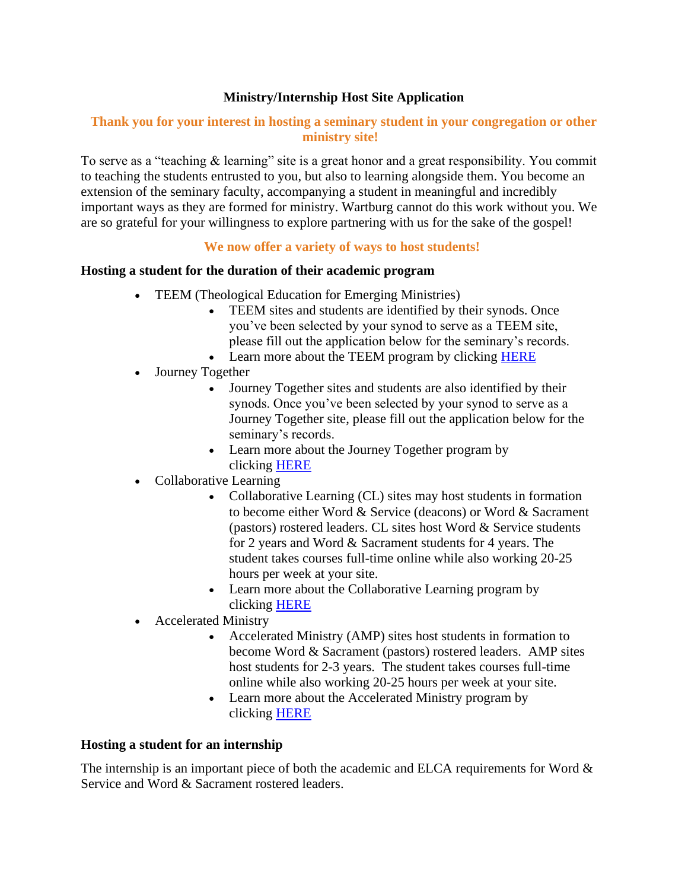# **Ministry/Internship Host Site Application**

## **Thank you for your interest in hosting a seminary student in your congregation or other ministry site!**

To serve as a "teaching & learning" site is a great honor and a great responsibility. You commit to teaching the students entrusted to you, but also to learning alongside them. You become an extension of the seminary faculty, accompanying a student in meaningful and incredibly important ways as they are formed for ministry. Wartburg cannot do this work without you. We are so grateful for your willingness to explore partnering with us for the sake of the gospel!

#### **We now offer a variety of ways to host students!**

#### **Hosting a student for the duration of their academic program**

- TEEM (Theological Education for Emerging Ministries)
	- TEEM sites and students are identified by their synods. Once you've been selected by your synod to serve as a TEEM site, please fill out the application below for the seminary's records.
	- Learn more about the TEEM program by clicking [HERE](https://www.wartburgseminary.edu/teem/)
- Journey Together
	- Journey Together sites and students are also identified by their synods. Once you've been selected by your synod to serve as a Journey Together site, please fill out the application below for the seminary's records.
	- Learn more about the Journey Together program by clicking [HERE](https://www.wartburgseminary.edu/journey-together/)
- Collaborative Learning
	- Collaborative Learning (CL) sites may host students in formation to become either Word & Service (deacons) or Word & Sacrament (pastors) rostered leaders. CL sites host Word & Service students for 2 years and Word & Sacrament students for 4 years. The student takes courses full-time online while also working 20-25 hours per week at your site.
	- Learn more about the Collaborative Learning program by clicking [HERE](https://www.wartburgseminary.edu/collaborative-learning/)
- Accelerated Ministry
	- Accelerated Ministry (AMP) sites host students in formation to become Word & Sacrament (pastors) rostered leaders. AMP sites host students for 2-3 years. The student takes courses full-time online while also working 20-25 hours per week at your site.
	- Learn more about the Accelerated Ministry program by clicking [HERE](https://www.wartburgseminary.edu/accelerated/)

#### **Hosting a student for an internship**

The internship is an important piece of both the academic and ELCA requirements for Word  $\&$ Service and Word & Sacrament rostered leaders.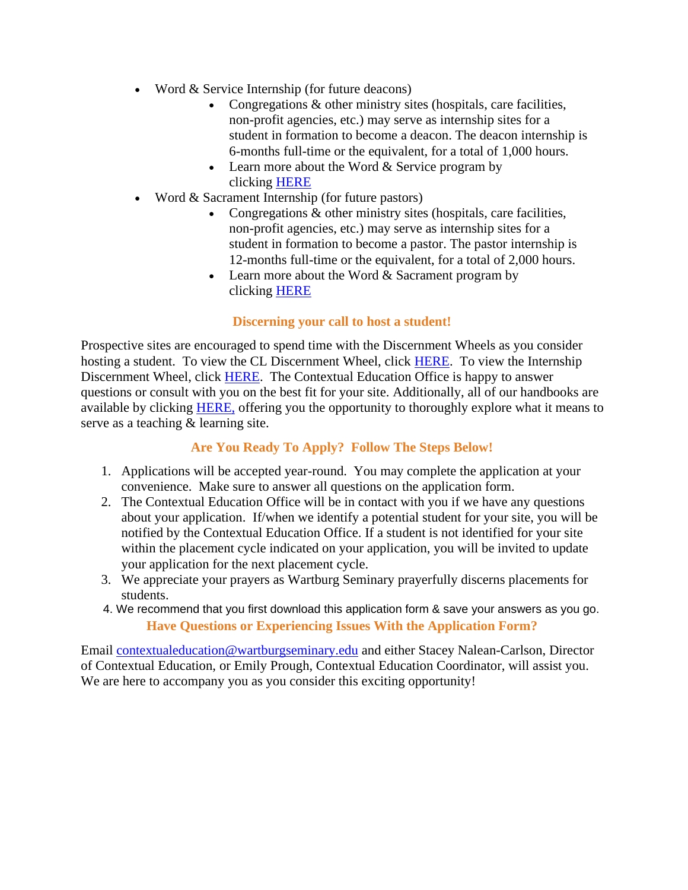- Word & Service Internship (for future deacons)
	- Congregations & other ministry sites (hospitals, care facilities, non-profit agencies, etc.) may serve as internship sites for a student in formation to become a deacon. The deacon internship is 6-months full-time or the equivalent, for a total of 1,000 hours.
	- Learn more about the Word & Service program by clicking [HERE](https://www.wartburgseminary.edu/find-your-path/master-of-arts-in-diaconal-ministry/)
- Word & Sacrament Internship (for future pastors)
	- Congregations & other ministry sites (hospitals, care facilities, non-profit agencies, etc.) may serve as internship sites for a student in formation to become a pastor. The pastor internship is 12-months full-time or the equivalent, for a total of 2,000 hours.
	- Learn more about the Word  $&$  Sacrament program by clicking [HERE](https://www.wartburgseminary.edu/find-your-path/master-of-divinity/)

#### **Discerning your call to host a student!**

Prospective sites are encouraged to spend time with the Discernment Wheels as you consider hosting a student. To view the CL Discernment Wheel, click [HERE.](https://www.wartburgseminary.edu/wp-content/uploads/2022/05/CL-Site-Discernment-Wheel.pdf) To view the Internship Discernment Wheel, click [HERE.](https://www.wartburgseminary.edu/wp-content/uploads/2022/05/Internship-Site-Discernment-Wheel.pdf) The Contextual Education Office is happy to answer questions or consult with you on the best fit for your site. Additionally, all of our handbooks are available by clicking **HERE**, offering you the opportunity to thoroughly explore what it means to serve as a teaching & learning site.

# **Are You Ready To Apply? Follow The Steps Below!**

- 1. Applications will be accepted year-round. You may complete the application at your convenience. Make sure to answer all questions on the application form.
- 2. The Contextual Education Office will be in contact with you if we have any questions about your application. If/when we identify a potential student for your site, you will be notified by the Contextual Education Office. If a student is not identified for your site within the placement cycle indicated on your application, you will be invited to update your application for the next placement cycle.
- 3. We appreciate your prayers as Wartburg Seminary prayerfully discerns placements for students.
- **Have Questions or Experiencing Issues With the Application Form?** 4. We recommend that you first download this application form & save your answers as you go.

Email [contextualeducation@wartburgseminary.edu](mailto:contextualeducation@wartburgseminary.edu) and either Stacey Nalean-Carlson, Director of Contextual Education, or Emily Prough, Contextual Education Coordinator, will assist you. We are here to accompany you as you consider this exciting opportunity!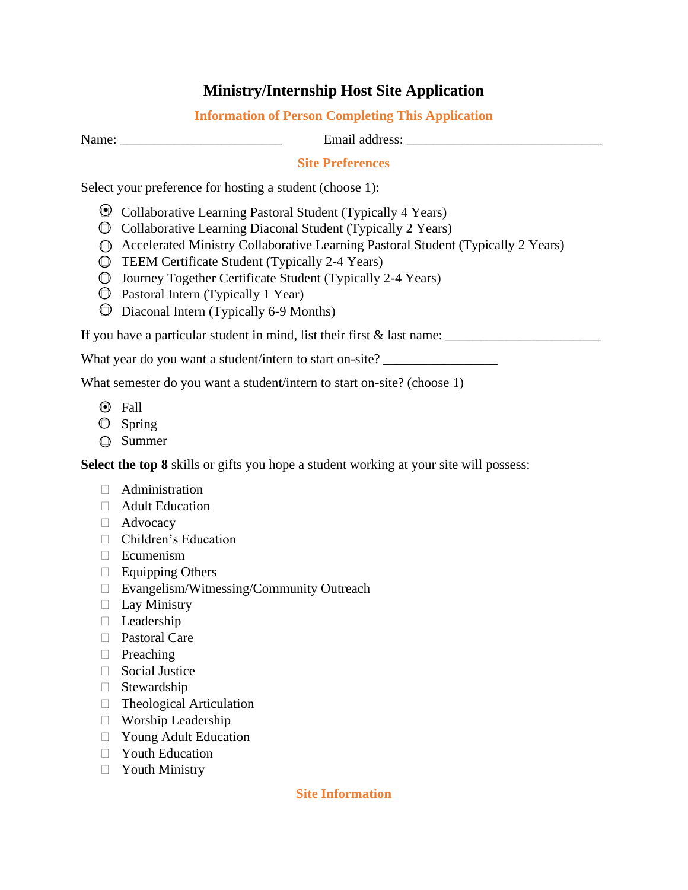# **Ministry/Internship Host Site Application**

# **Information of Person Completing This Application**

Name: \_\_\_\_\_\_\_\_\_\_\_\_\_\_\_\_\_\_\_\_\_\_\_\_ Email address: \_\_\_\_\_\_\_\_\_\_\_\_\_\_\_\_\_\_\_\_\_\_\_\_\_\_\_\_\_

# **Site Preferences**

Select your preference for hosting a student (choose 1):

- Collaborative Learning Pastoral Student (Typically 4 Years) ●
- $\odot$  Collaborative Learning Diaconal Student (Typically 2 Years)
- Accelerated Ministry Collaborative Learning Pastoral Student (Typically 2 Years)
- TEEM Certificate Student (Typically 2-4 Years)
- Journey Together Certificate Student (Typically 2-4 Years)
- $\odot$  Pastoral Intern (Typically 1 Year)
- $\odot$  Diaconal Intern (Typically 6-9 Months)

If you have a particular student in mind, list their first & last name: \_\_\_\_\_\_\_\_\_\_\_\_\_\_\_\_\_\_\_\_\_\_\_

What year do you want a student/intern to start on-site?

What semester do you want a student/intern to start on-site? (choose 1)

- $\odot$  Fall
- $\bigcirc$  Spring
- **□** Summer

**Select the top 8** skills or gifts you hope a student working at your site will possess:

- Administration
- Adult Education
- Advocacy
- Children's Education
- $\Box$  Ecumenism
- $\Box$  Equipping Others
- Evangelism/Witnessing/Community Outreach
- $\Box$  Lay Ministry
- D Leadership
- □ Pastoral Care
- $\Box$  Preaching
- Social Justice
- Stewardship
- □ Theological Articulation
- Worship Leadership
- Young Adult Education
- **Nouth Education**
- **Nuth Ministry**

#### **Site Information**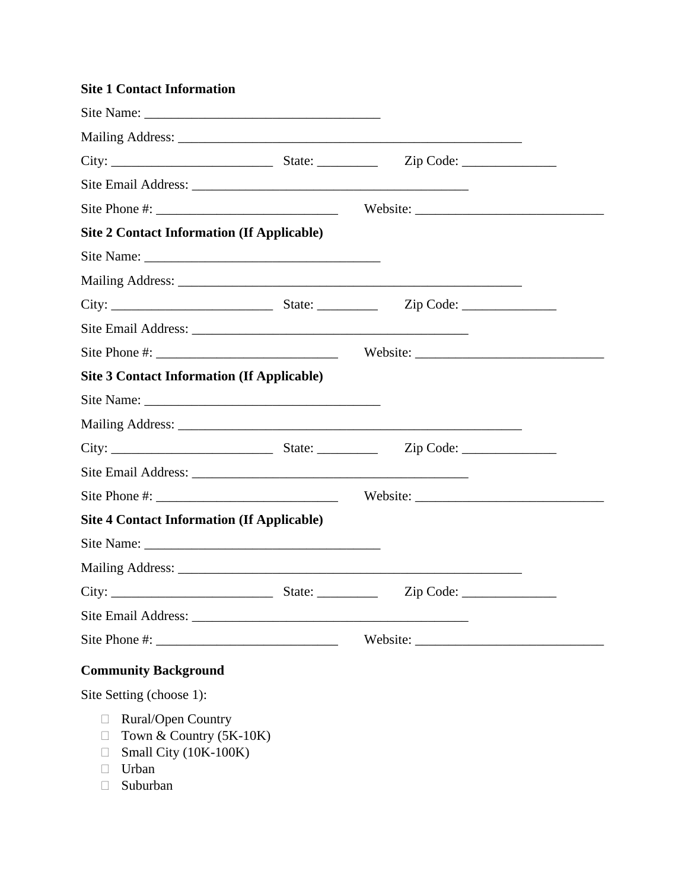| <b>Site 1 Contact Information</b>                                                                                   |           |  |
|---------------------------------------------------------------------------------------------------------------------|-----------|--|
|                                                                                                                     |           |  |
|                                                                                                                     |           |  |
|                                                                                                                     | Zip Code: |  |
|                                                                                                                     |           |  |
|                                                                                                                     |           |  |
| <b>Site 2 Contact Information (If Applicable)</b>                                                                   |           |  |
|                                                                                                                     |           |  |
|                                                                                                                     |           |  |
|                                                                                                                     |           |  |
|                                                                                                                     |           |  |
|                                                                                                                     |           |  |
| <b>Site 3 Contact Information (If Applicable)</b>                                                                   |           |  |
|                                                                                                                     |           |  |
|                                                                                                                     |           |  |
|                                                                                                                     |           |  |
|                                                                                                                     |           |  |
|                                                                                                                     |           |  |
| <b>Site 4 Contact Information (If Applicable)</b>                                                                   |           |  |
|                                                                                                                     |           |  |
|                                                                                                                     |           |  |
|                                                                                                                     | Zip Code: |  |
|                                                                                                                     |           |  |
|                                                                                                                     |           |  |
| <b>Community Background</b>                                                                                         |           |  |
| Site Setting (choose 1):                                                                                            |           |  |
| <b>Rural/Open Country</b><br>$\overline{\phantom{a}}$<br>Town & Country (5K-10K)<br>$\Box$<br>Small City (10K-100K) |           |  |

- Urban
- Suburban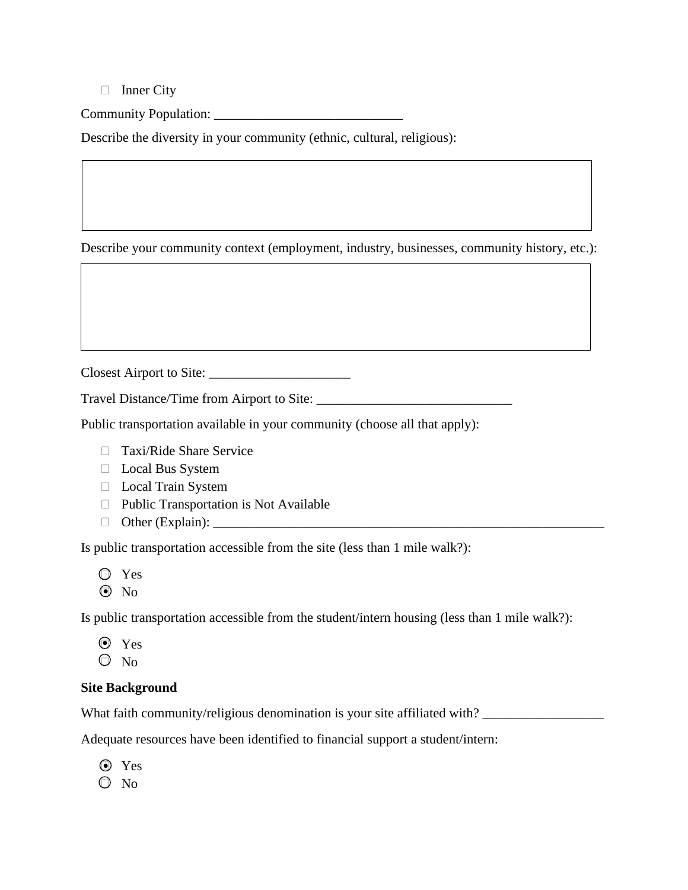$\Box$  Inner City

Community Population: \_\_\_\_\_\_\_\_\_\_\_\_\_\_\_\_\_\_\_\_\_\_\_\_\_\_\_\_

Describe the diversity in your community (ethnic, cultural, religious):

Describe your community context (employment, industry, businesses, community history, etc.):

Closest Airport to Site: \_\_\_\_\_\_\_\_\_\_\_\_\_\_\_\_\_\_\_\_\_

Travel Distance/Time from Airport to Site: \_\_\_\_\_\_\_\_\_\_\_\_\_\_\_\_\_\_\_\_\_\_\_\_\_\_\_\_\_

Public transportation available in your community (choose all that apply):

- □ Taxi/Ride Share Service
- □ Local Bus System
- **Local Train System**
- $\Box$  Public Transportation is Not Available
- Other (Explain): \_\_\_\_\_\_\_\_\_\_\_\_\_\_\_\_\_\_\_\_\_\_\_\_\_\_\_\_\_\_\_\_\_\_\_\_\_\_\_\_\_\_\_\_\_\_\_\_\_\_\_\_\_\_\_\_\_\_

Is public transportation accessible from the site (less than 1 mile walk?):

- Yes
- No ●

Is public transportation accessible from the student/intern housing (less than 1 mile walk?):

- Yes ●
- $\odot$  No

# **Site Background**

What faith community/religious denomination is your site affiliated with? \_\_\_\_\_\_\_\_\_\_\_\_\_\_\_\_\_\_

Adequate resources have been identified to financial support a student/intern:

Yes ●

 $\bigcirc$  No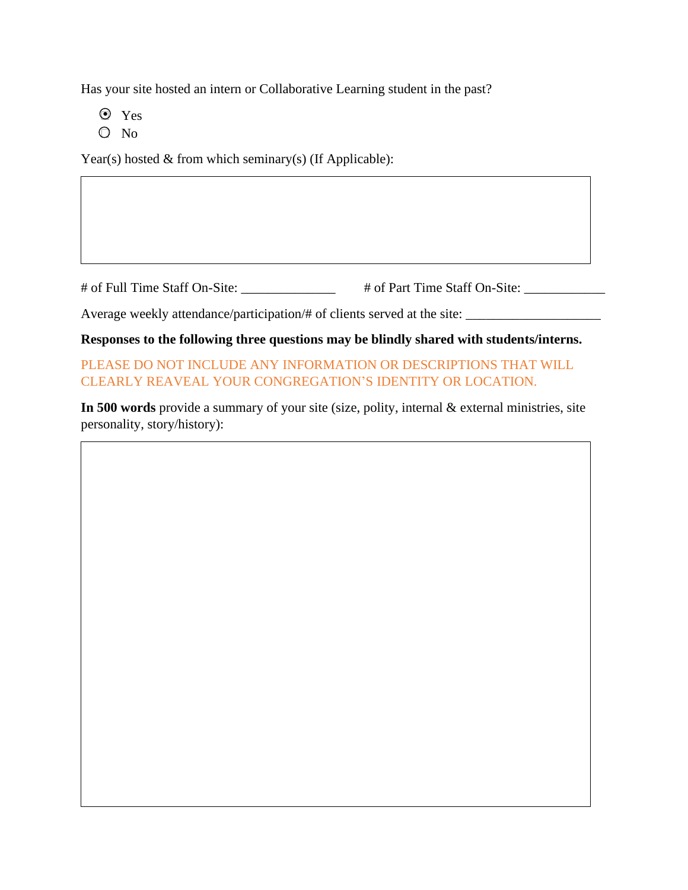Has your site hosted an intern or Collaborative Learning student in the past?

- $\bullet$  Yes
- $\bigcirc$  No

Year(s) hosted & from which seminary(s) (If Applicable):

# of Full Time Staff On-Site: \_\_\_\_\_\_\_\_\_\_\_\_\_\_ # of Part Time Staff On-Site: \_\_\_\_\_\_\_\_\_\_\_

Average weekly attendance/participation/# of clients served at the site:

**Responses to the following three questions may be blindly shared with students/interns.**

PLEASE DO NOT INCLUDE ANY INFORMATION OR DESCRIPTIONS THAT WILL CLEARLY REAVEAL YOUR CONGREGATION'S IDENTITY OR LOCATION.

**In 500 words** provide a summary of your site (size, polity, internal & external ministries, site personality, story/history):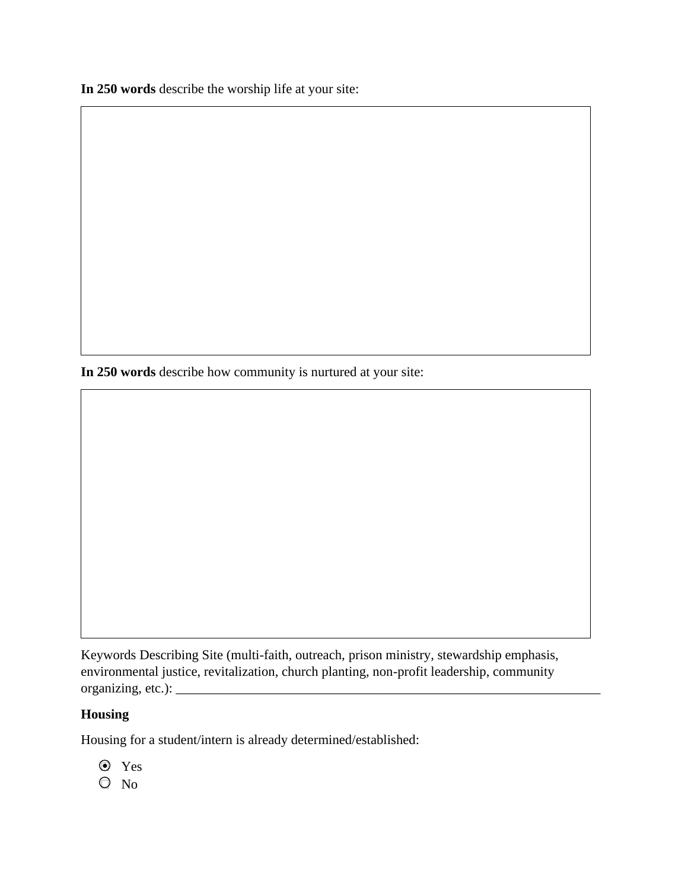**In 250 words** describe the worship life at your site:

**In 250 words** describe how community is nurtured at your site:

Keywords Describing Site (multi-faith, outreach, prison ministry, stewardship emphasis, environmental justice, revitalization, church planting, non-profit leadership, community organizing, etc.): \_\_\_\_\_\_\_\_\_\_\_\_\_\_\_\_\_\_\_\_\_\_\_\_\_\_\_\_\_\_\_\_\_\_\_\_\_\_\_\_\_\_\_\_\_\_\_\_\_\_\_\_\_\_\_\_\_\_\_\_\_\_\_

# **Housing**

Housing for a student/intern is already determined/established:

- Yes ●
- No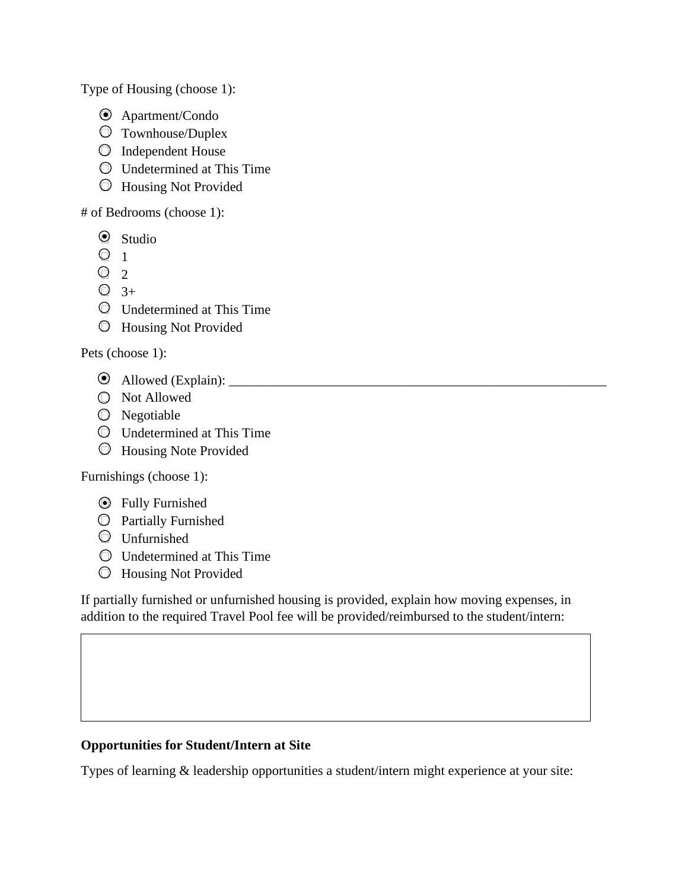Type of Housing (choose 1):

- Apartment/Condo ●
- Townhouse/Duplex
- $\odot$  Independent House
- Undetermined at This Time
- Housing Not Provided

# of Bedrooms (choose 1):

- 2 Studio
- $\Theta$  1
- $\bigcirc$  2
- $\bigcirc$  3+
- Undetermined at This Time
- Housing Not Provided

Pets (choose 1):

- Allowed (Explain): \_\_\_\_\_\_\_\_\_\_\_\_\_\_\_\_\_\_\_\_\_\_\_\_\_\_\_\_\_\_\_\_\_\_\_\_\_\_\_\_\_\_\_\_\_\_\_\_\_\_\_\_\_\_\_\_ ●
- Not Allowed
- $\bigcirc$  Negotiable
- Undetermined at This Time
- Housing Note Provided

Furnishings (choose 1):

- **•** Fully Furnished
- Partially Furnished
- $\odot$  Unfurnished
- Undetermined at This Time
- Housing Not Provided

If partially furnished or unfurnished housing is provided, explain how moving expenses, in addition to the required Travel Pool fee will be provided/reimbursed to the student/intern:

# **Opportunities for Student/Intern at Site**

Types of learning & leadership opportunities a student/intern might experience at your site: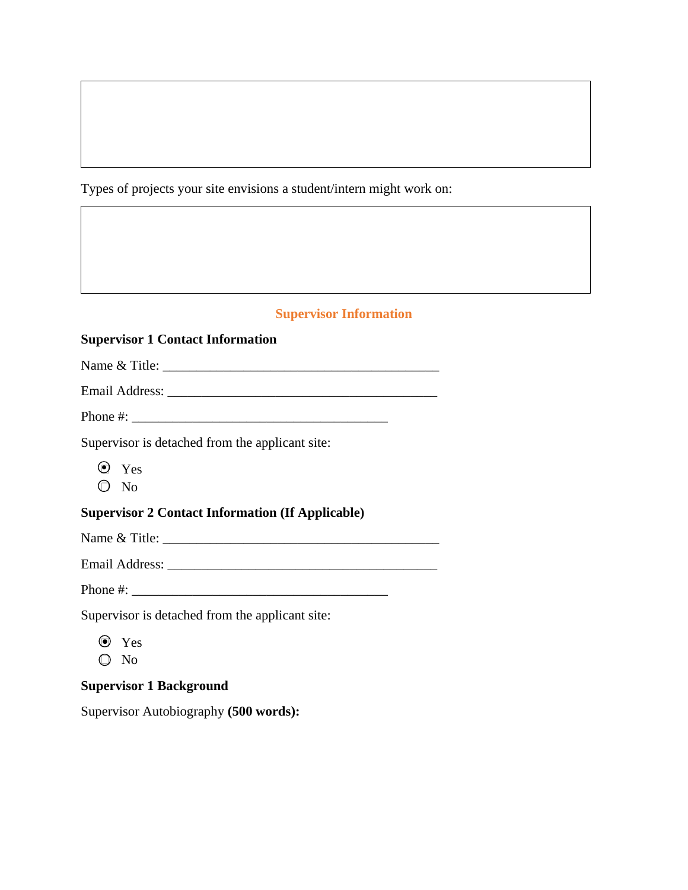Types of projects your site envisions a student/intern might work on:

## **Supervisor Information**

#### **Supervisor 1 Contact Information**

Name  $\&$  Title:

Email Address:

Supervisor is detached from the applicant site:

- $\mathbf{P}$  Yes
- $\odot$  No

## **Supervisor 2 Contact Information (If Applicable)**

Name & Title: \_\_\_\_\_\_\_\_\_\_\_\_\_\_\_\_\_\_\_\_\_\_\_\_\_\_\_\_\_\_\_\_\_\_\_\_\_\_\_\_\_

Email Address: \_\_\_\_\_\_\_\_\_\_\_\_\_\_\_\_\_\_\_\_\_\_\_\_\_\_\_\_\_\_\_\_\_\_\_\_\_\_\_\_

Phone #: \_\_\_\_\_\_\_\_\_\_\_\_\_\_\_\_\_\_\_\_\_\_\_\_\_\_\_\_\_\_\_\_\_\_\_\_\_\_

Supervisor is detached from the applicant site:

- Yes ●
- No

## **Supervisor 1 Background**

Supervisor Autobiography **(500 words):**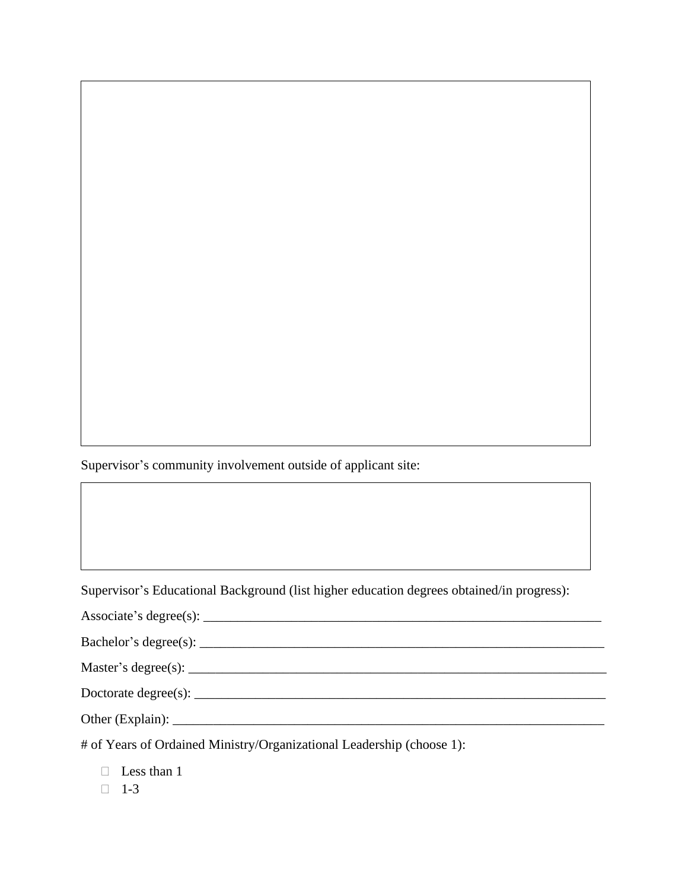Supervisor's community involvement outside of applicant site:

Supervisor's Educational Background (list higher education degrees obtained/in progress):

| Associate's degree $(s)$ : |  |
|----------------------------|--|
|                            |  |

Master's degree(s): \_\_\_\_\_\_\_\_\_\_\_\_\_\_\_\_\_\_\_\_\_\_\_\_\_\_\_\_\_\_\_\_\_\_\_\_\_\_\_\_\_\_\_\_\_\_\_\_\_\_\_\_\_\_\_\_\_\_\_\_\_\_

Doctorate degree(s): \_\_\_\_\_\_\_\_\_\_\_\_\_\_\_\_\_\_\_\_\_\_\_\_\_\_\_\_\_\_\_\_\_\_\_\_\_\_\_\_\_\_\_\_\_\_\_\_\_\_\_\_\_\_\_\_\_\_\_\_\_

Other (Explain): \_\_\_\_\_\_\_\_\_\_\_\_\_\_\_\_\_\_\_\_\_\_\_\_\_\_\_\_\_\_\_\_\_\_\_\_\_\_\_\_\_\_\_\_\_\_\_\_\_\_\_\_\_\_\_\_\_\_\_\_\_\_\_\_

# of Years of Ordained Ministry/Organizational Leadership (choose 1):

**Less than 1** 

 $\Box$  1-3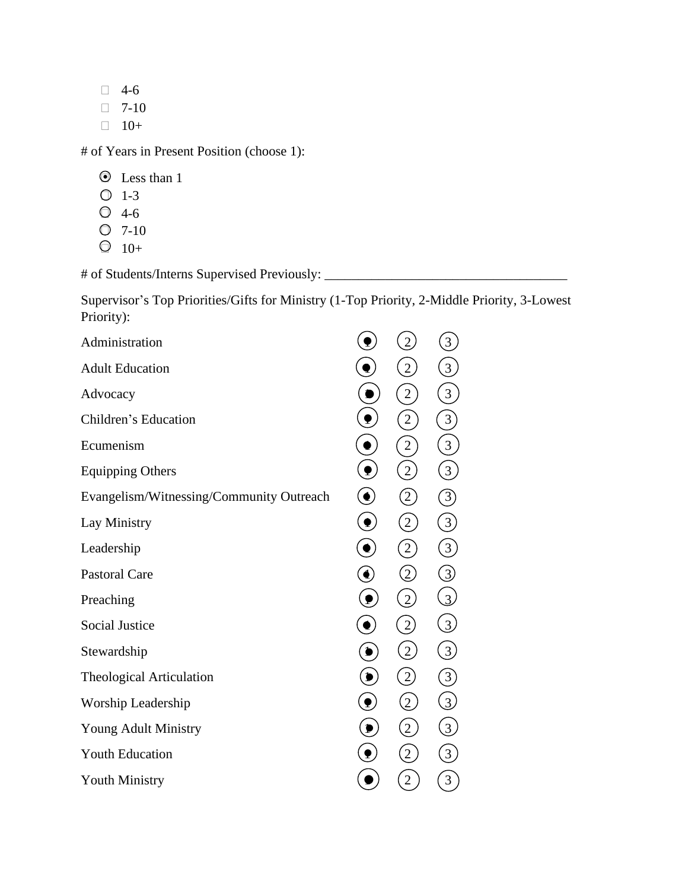- $\Box$  4-6
- $\Box$  7-10
- $\Box$  10+

# of Years in Present Position (choose 1):

- $\bullet$  Less than 1
- $O \t1-3$
- $\bigcirc$  4-6
- $Q$  7-10
- $\bigcirc$  10+

# of Students/Interns Supervised Previously: \_\_\_\_\_\_\_\_\_\_\_\_\_\_\_\_\_\_\_\_\_\_\_\_\_\_\_\_\_\_\_\_\_\_\_

Supervisor's Top Priorities/Gifts for Ministry (1-Top Priority, 2-Middle Priority, 3-Lowest Priority):

|                                                                 |                   | 3                                                      |
|-----------------------------------------------------------------|-------------------|--------------------------------------------------------|
| ę                                                               | $\sqrt{2}$        | $\overline{3}$                                         |
|                                                                 | $\overline{c}$    | $\overline{3}$                                         |
| $\hat{\mathbf{r}}$                                              | $\overline{2}$    | $\left[3\right]$                                       |
| $\bullet$                                                       | $\overline{c}$    | $\overline{\mathbf{3}}$                                |
| $\left( \begin{matrix} \bullet \\ \bullet \end{matrix} \right)$ | $\overline{2}$    | $\left[3\right]$                                       |
| $\left( \bullet \right)$                                        | $\left( 2\right)$ | 3                                                      |
| $\ddot{\mathbf{P}}$                                             | $\left[2\right]$  | $\left(3\right)$                                       |
| $\ddot{\bullet}$                                                | $\left[2\right]$  | 3                                                      |
| $\widehat{\mathbf{C}}$                                          | $\left( 2\right)$ | 3                                                      |
|                                                                 | $\overline{2}$    | $\overline{3}$                                         |
|                                                                 | $\overline{2}$    | $\overline{3}$                                         |
|                                                                 | $\overline{2}$    | $\left(\begin{smallmatrix} 3 \end{smallmatrix}\right)$ |
|                                                                 | $\left( 2\right)$ | 3                                                      |
|                                                                 | $\left( 2\right)$ | $\overline{3}$                                         |
| $\bullet$                                                       | $\overline{2}$    | $\overline{3}$                                         |
|                                                                 | $\overline{2}$    | $\overline{3}$                                         |
|                                                                 | $\overline{2}$    | 3                                                      |
|                                                                 |                   |                                                        |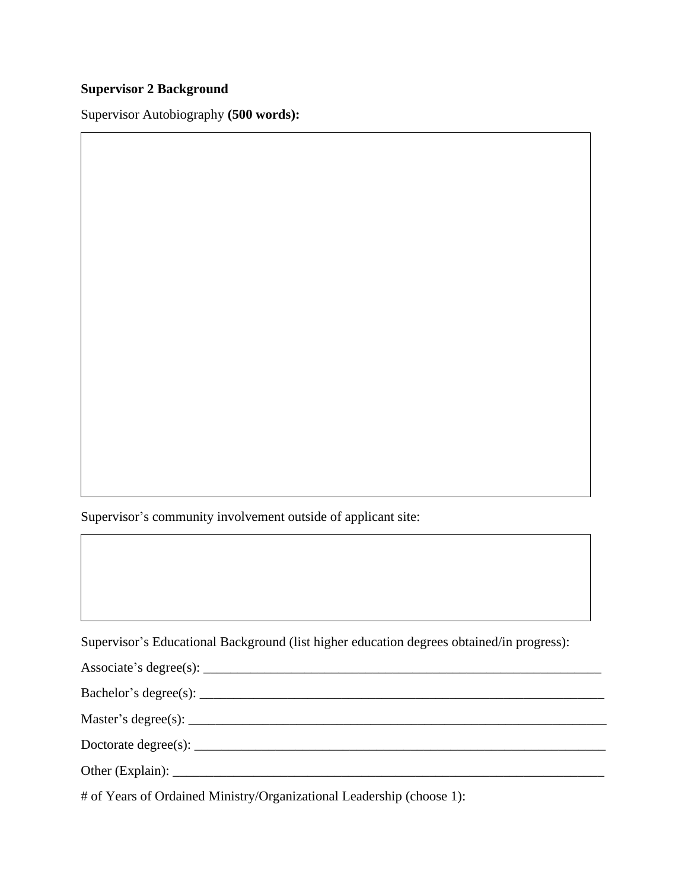# **Supervisor 2 Background**

Supervisor Autobiography **(500 words):**

Supervisor's community involvement outside of applicant site:

Supervisor's Educational Background (list higher education degrees obtained/in progress):

| Associate's degree(s): $\overline{\phantom{a}}$ |  |
|-------------------------------------------------|--|
|-------------------------------------------------|--|

|  |  | Bachelor's degree(s): |  |
|--|--|-----------------------|--|
|--|--|-----------------------|--|

Master's degree(s): \_\_\_\_\_\_\_\_\_\_\_\_\_\_\_\_\_\_\_\_\_\_\_\_\_\_\_\_\_\_\_\_\_\_\_\_\_\_\_\_\_\_\_\_\_\_\_\_\_\_\_\_\_\_\_\_\_\_\_\_\_\_

Doctorate degree(s): \_\_\_\_\_\_\_\_\_\_\_\_\_\_\_\_\_\_\_\_\_\_\_\_\_\_\_\_\_\_\_\_\_\_\_\_\_\_\_\_\_\_\_\_\_\_\_\_\_\_\_\_\_\_\_\_\_\_\_\_\_

Other (Explain): \_\_\_\_\_\_\_\_\_\_\_\_\_\_\_\_\_\_\_\_\_\_\_\_\_\_\_\_\_\_\_\_\_\_\_\_\_\_\_\_\_\_\_\_\_\_\_\_\_\_\_\_\_\_\_\_\_\_\_\_\_\_\_\_

# of Years of Ordained Ministry/Organizational Leadership (choose 1):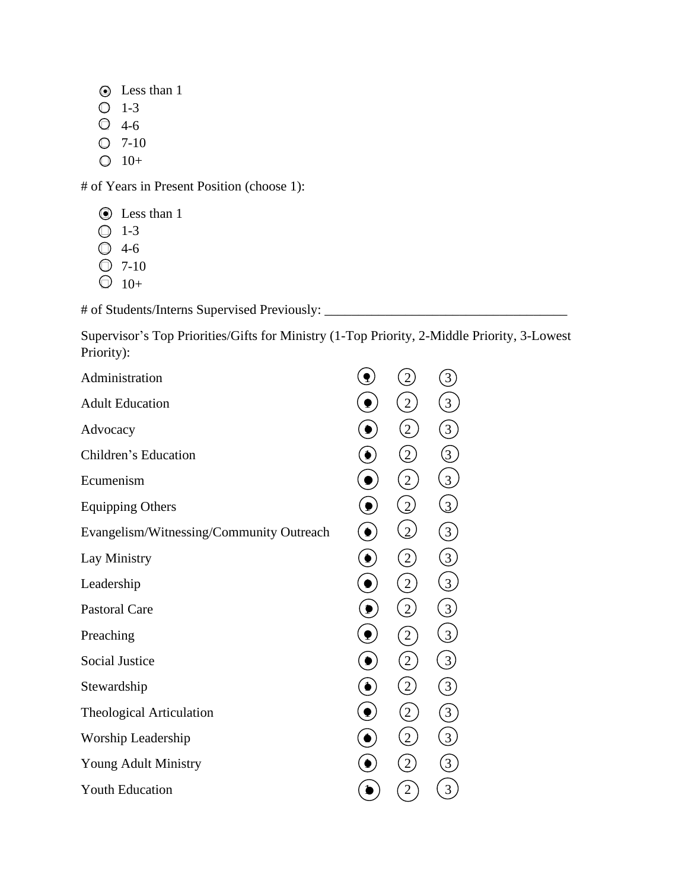- Less than 1 ●
- $O$  1-3
- $\bigcirc$  4-6
- $O$  7-10
- $\bigcirc$  10+

# of Years in Present Position (choose 1):

- **D** Less than 1
- $\bigcirc$  1-3
- 4-6
- $\bigcirc$  7-10
- $\bigcirc$  10+

# of Students/Interns Supervised Previously: \_\_\_\_\_\_\_\_\_\_\_\_\_\_\_\_\_\_\_\_\_\_\_\_\_\_\_\_\_\_\_\_\_\_\_\_

Supervisor's Top Priorities/Gifts for Ministry (1-Top Priority, 2-Middle Priority, 3-Lowest Priority):

| Administration                           |                                                                 |                        | 3                |  |
|------------------------------------------|-----------------------------------------------------------------|------------------------|------------------|--|
| <b>Adult Education</b>                   |                                                                 | $\overline{2}$         | 3                |  |
| Advocacy                                 |                                                                 | $\overline{2}$         | $\left[3\right]$ |  |
| Children's Education                     | $\bullet$                                                       | $\overline{2}$         | $\left(3\right)$ |  |
| Ecumenism                                | ę                                                               | $\overline{2}$         | $\overline{3}$   |  |
| <b>Equipping Others</b>                  |                                                                 | $\overline{2}$         | $\overline{3}$   |  |
| Evangelism/Witnessing/Community Outreach | $\bullet$                                                       | $\overline{2}$         | $\left 3\right $ |  |
| Lay Ministry                             | $\left( \begin{matrix} \bullet \\ \bullet \end{matrix} \right)$ | $\overline{2}$         | $\overline{3}$   |  |
| Leadership                               | $\bullet$                                                       | $\sqrt{2}$             | $\overline{3}$   |  |
| <b>Pastoral Care</b>                     |                                                                 | $\overline{2}$         | $\overline{3}$   |  |
| Preaching                                | ₹,                                                              | $\left 2\right\rangle$ | $\overline{3}$   |  |
| <b>Social Justice</b>                    | $\bullet$                                                       | $\overline{2}$         | $\overline{3}$   |  |
| Stewardship                              | $\bullet$                                                       | $\overline{2}$         | $\overline{3}$   |  |
| <b>Theological Articulation</b>          |                                                                 | $\overline{2}$         | $\left[3\right]$ |  |
| Worship Leadership                       |                                                                 | $\overline{2}$         | $\overline{3}$   |  |
| Young Adult Ministry                     |                                                                 | $\overline{2}$         | $\overline{3}$   |  |
| <b>Youth Education</b>                   |                                                                 |                        | 3                |  |
|                                          |                                                                 |                        |                  |  |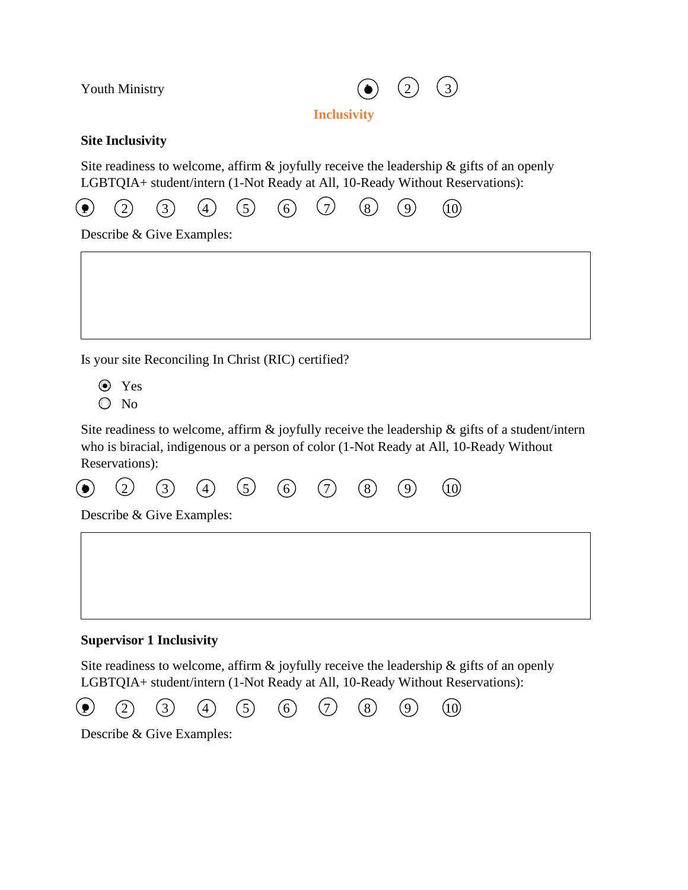

**Inclusivity**

#### **Site Inclusivity**

Site readiness to welcome, affirm  $\&$  joyfully receive the leadership  $\&$  gifts of an openly LGBTQIA+ student/intern (1-Not Ready at All, 10-Ready Without Reservations):



Describe & Give Examples:

Is your site Reconciling In Christ (RIC) certified?

- Yes ●
- $\odot$  No

Site readiness to welcome, affirm  $\&$  joyfully receive the leadership  $\&$  gifts of a student/intern who is biracial, indigenous or a person of color (1-Not Ready at All, 10-Ready Without Reservations):

 $\bullet$ ) (2) (3) (4) (5) (6) (7) (8) (9) (10)  $(\bullet)$ 

Describe & Give Examples:

#### **Supervisor 1 Inclusivity**

Site readiness to welcome, affirm  $\&$  joyfully receive the leadership  $\&$  gifts of an openly LGBTQIA+ student/intern (1-Not Ready at All, 10-Ready Without Reservations):



Describe & Give Examples: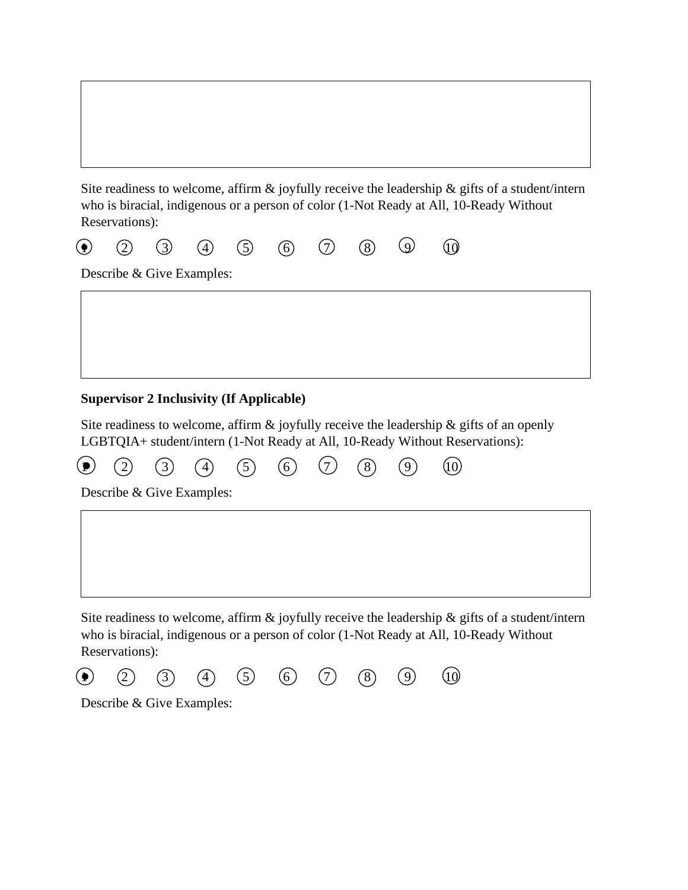Site readiness to welcome, affirm  $\&$  joyfully receive the leadership  $\&$  gifts of a student/intern who is biracial, indigenous or a person of color (1-Not Ready at All, 10-Ready Without Reservations):

|                |  |  |  | $\odot$ $\odot$ $\odot$ $\odot$ $\odot$ $\odot$ $\odot$ $\odot$ $\odot$ $\odot$ $\odot$ |  |
|----------------|--|--|--|-----------------------------------------------------------------------------------------|--|
| ______________ |  |  |  |                                                                                         |  |

Describe & Give Examples:

# **Supervisor 2 Inclusivity (If Applicable)**

Site readiness to welcome, affirm & joyfully receive the leadership & gifts of an openly LGBTQIA+ student/intern (1-Not Ready at All, 10-Ready Without Reservations):



Site readiness to welcome, affirm  $\&$  joyfully receive the leadership  $\&$  gifts of a student/intern who is biracial, indigenous or a person of color (1-Not Ready at All, 10-Ready Without Reservations):



Describe & Give Examples: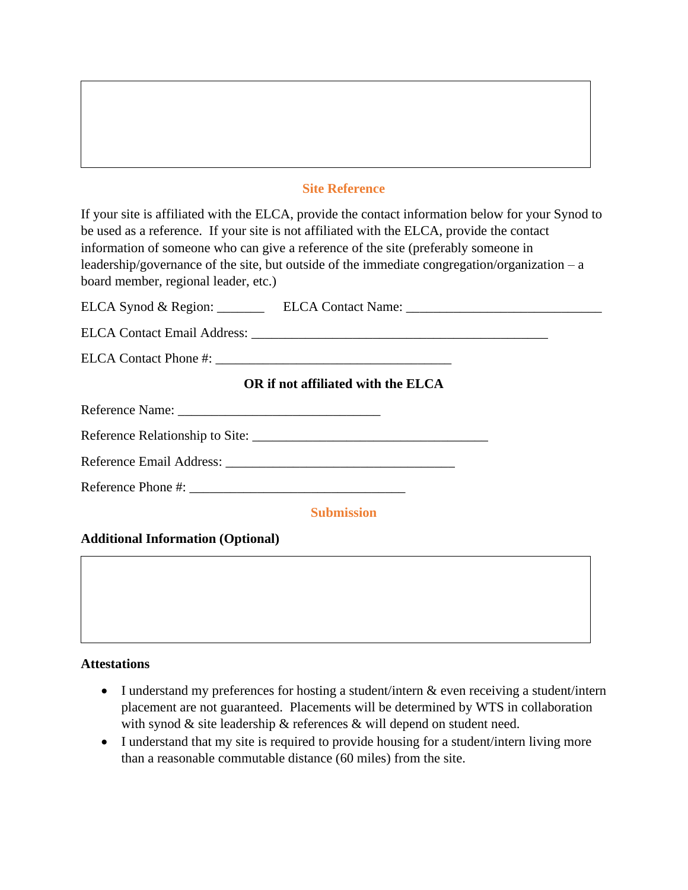#### **Site Reference**

If your site is affiliated with the ELCA, provide the contact information below for your Synod to be used as a reference. If your site is not affiliated with the ELCA, provide the contact information of someone who can give a reference of the site (preferably someone in leadership/governance of the site, but outside of the immediate congregation/organization –  $a$ board member, regional leader, etc.)

ELCA Synod & Region: \_\_\_\_\_\_\_\_\_ ELCA Contact Name: \_\_\_\_\_\_\_\_\_\_\_\_\_\_\_\_\_\_\_\_\_\_\_\_\_\_\_\_\_\_

ELCA Contact Email Address: \_\_\_\_\_\_\_\_\_\_\_\_\_\_\_\_\_\_\_\_\_\_\_\_\_\_\_\_\_\_\_\_\_\_\_\_\_\_\_\_\_\_\_\_

ELCA Contact Phone #: \_\_\_\_\_\_\_\_\_\_\_\_\_\_\_\_\_\_\_\_\_\_\_\_\_\_\_\_\_\_\_\_\_\_\_

## **OR if not affiliated with the ELCA**

Reference Name: \_\_\_\_\_\_\_\_\_\_\_\_\_\_\_\_\_\_\_\_\_\_\_\_\_\_\_\_\_\_

Reference Relationship to Site: \_\_\_\_\_\_\_\_\_\_\_\_\_\_\_\_\_\_\_\_\_\_\_\_\_\_\_\_\_\_\_\_\_\_\_

Reference Email Address: \_\_\_\_\_\_\_\_\_\_\_\_\_\_\_\_\_\_\_\_\_\_\_\_\_\_\_\_\_\_\_\_\_\_

Reference Phone #:

**Submission**

#### **Additional Information (Optional)**



- I understand my preferences for hosting a student/intern & even receiving a student/intern placement are not guaranteed. Placements will be determined by WTS in collaboration with synod & site leadership & references & will depend on student need.
- I understand that my site is required to provide housing for a student/intern living more than a reasonable commutable distance (60 miles) from the site.